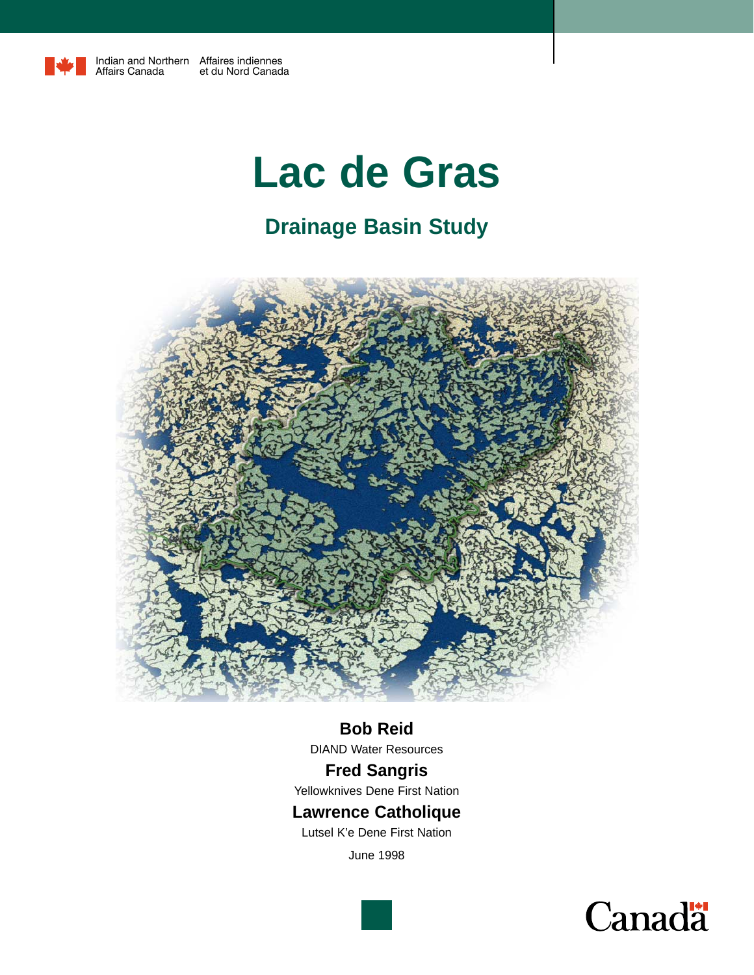

# **Lac de Gras**

# **Drainage Basin Study**



### **Bob Reid**

DIAND Water Resources

### **Fred Sangris**

Yellowknives Dene First Nation

### **Lawrence Catholique**

Lutsel K'e Dene First Nation

June 1998

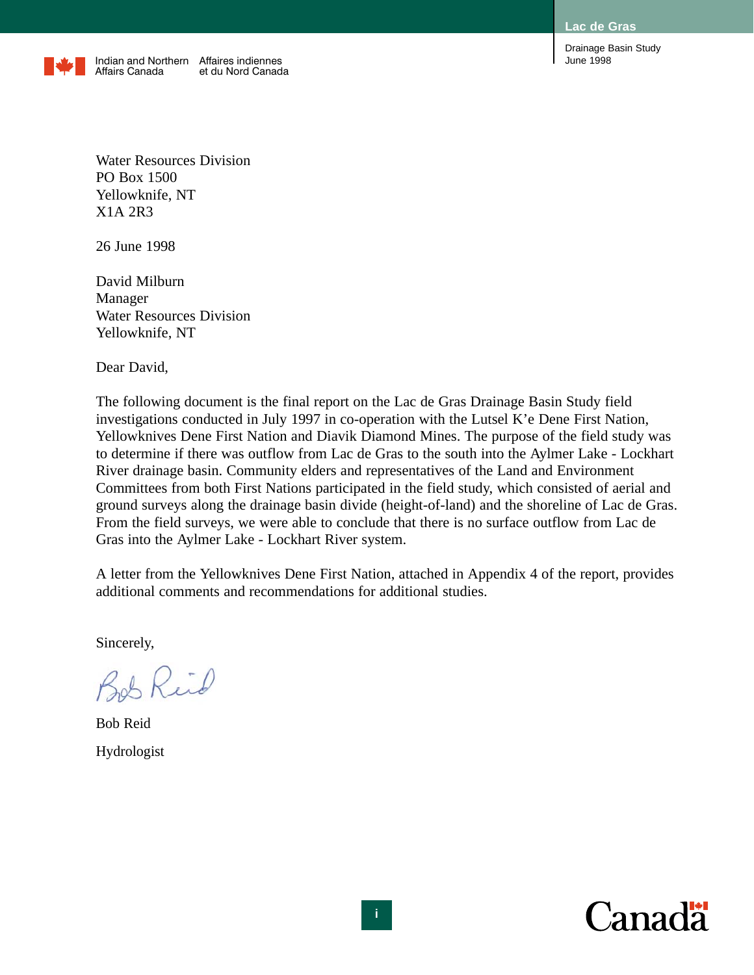

Water Resources Division PO Box 1500 Yellowknife, NT X1A 2R3

26 June 1998

David Milburn Manager Water Resources Division Yellowknife, NT

Dear David,

The following document is the final report on the Lac de Gras Drainage Basin Study field investigations conducted in July 1997 in co-operation with the Lutsel K'e Dene First Nation, Yellowknives Dene First Nation and Diavik Diamond Mines. The purpose of the field study was to determine if there was outflow from Lac de Gras to the south into the Aylmer Lake - Lockhart River drainage basin. Community elders and representatives of the Land and Environment Committees from both First Nations participated in the field study, which consisted of aerial and ground surveys along the drainage basin divide (height-of-land) and the shoreline of Lac de Gras. From the field surveys, we were able to conclude that there is no surface outflow from Lac de Gras into the Aylmer Lake - Lockhart River system.

A letter from the Yellowknives Dene First Nation, attached in Appendix 4 of the report, provides additional comments and recommendations for additional studies.

Sincerely,

Bob Reid

Bob Reid Hydrologist

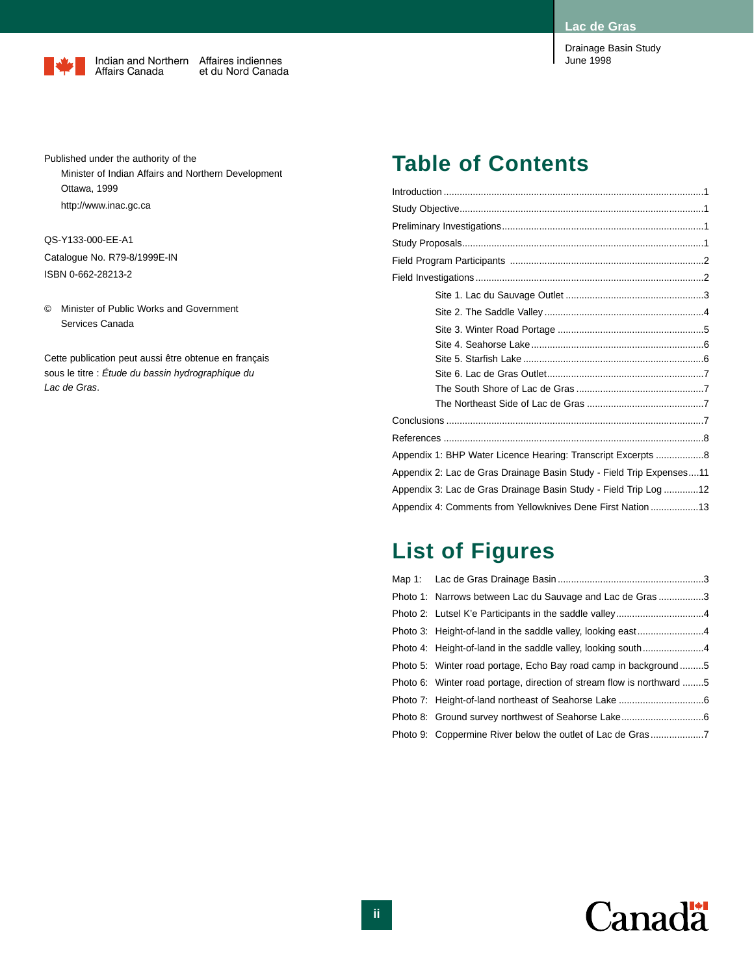June 1998

Drainage Basin Study



Published under the authority of the Minister of Indian Affairs and Northern Development Ottawa, 1999 http://www.inac.gc.ca

QS-Y133-000-EE-A1 Catalogue No. R79-8/1999E-IN ISBN 0-662-28213-2

© Minister of Public Works and Government Services Canada

Cette publication peut aussi être obtenue en français sous le titre : *Étude du bassin hydrographique du Lac de Gras*.

### **Table of Contents**

| Appendix 1: BHP Water Licence Hearing: Transcript Excerpts 8         |
|----------------------------------------------------------------------|
| Appendix 2: Lac de Gras Drainage Basin Study - Field Trip Expenses11 |
| Appendix 3: Lac de Gras Drainage Basin Study - Field Trip Log 12     |
| Appendix 4: Comments from Yellowknives Dene First Nation 13          |

### **List of Figures**

| Photo 1: Narrows between Lac du Sauvage and Lac de Gras 3             |  |
|-----------------------------------------------------------------------|--|
|                                                                       |  |
|                                                                       |  |
|                                                                       |  |
| Photo 5: Winter road portage, Echo Bay road camp in background 5      |  |
| Photo 6: Winter road portage, direction of stream flow is northward 5 |  |
|                                                                       |  |
|                                                                       |  |
| Photo 9: Coppermine River below the outlet of Lac de Gras 7           |  |

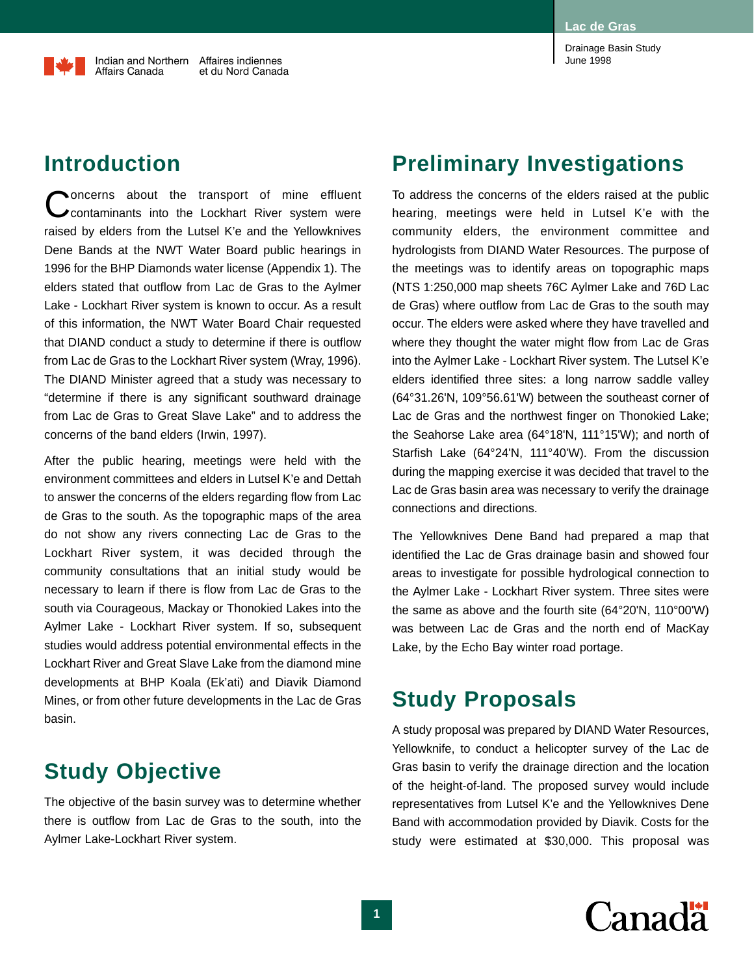### **Introduction**

Concerns about the transport of mine effluent<br>Coontaminants into the Lockhart River system were raised by elders from the Lutsel K'e and the Yellowknives Dene Bands at the NWT Water Board public hearings in 1996 for the BHP Diamonds water license (Appendix 1). The elders stated that outflow from Lac de Gras to the Aylmer Lake - Lockhart River system is known to occur. As a result of this information, the NWT Water Board Chair requested that DIAND conduct a study to determine if there is outflow from Lac de Gras to the Lockhart River system (Wray, 1996). The DIAND Minister agreed that a study was necessary to "determine if there is any significant southward drainage from Lac de Gras to Great Slave Lake" and to address the concerns of the band elders (Irwin, 1997).

After the public hearing, meetings were held with the environment committees and elders in Lutsel K'e and Dettah to answer the concerns of the elders regarding flow from Lac de Gras to the south. As the topographic maps of the area do not show any rivers connecting Lac de Gras to the Lockhart River system, it was decided through the community consultations that an initial study would be necessary to learn if there is flow from Lac de Gras to the south via Courageous, Mackay or Thonokied Lakes into the Aylmer Lake - Lockhart River system. If so, subsequent studies would address potential environmental effects in the Lockhart River and Great Slave Lake from the diamond mine developments at BHP Koala (Ek'ati) and Diavik Diamond Mines, or from other future developments in the Lac de Gras basin.

# **Study Objective**

The objective of the basin survey was to determine whether there is outflow from Lac de Gras to the south, into the Aylmer Lake-Lockhart River system.

# **Preliminary Investigations**

To address the concerns of the elders raised at the public hearing, meetings were held in Lutsel K'e with the community elders, the environment committee and hydrologists from DIAND Water Resources. The purpose of the meetings was to identify areas on topographic maps (NTS 1:250,000 map sheets 76C Aylmer Lake and 76D Lac de Gras) where outflow from Lac de Gras to the south may occur. The elders were asked where they have travelled and where they thought the water might flow from Lac de Gras into the Aylmer Lake - Lockhart River system. The Lutsel K'e elders identified three sites: a long narrow saddle valley (64°31.26'N, 109°56.61'W) between the southeast corner of Lac de Gras and the northwest finger on Thonokied Lake; the Seahorse Lake area (64°18'N, 111°15'W); and north of Starfish Lake (64°24'N, 111°40'W). From the discussion during the mapping exercise it was decided that travel to the Lac de Gras basin area was necessary to verify the drainage connections and directions.

The Yellowknives Dene Band had prepared a map that identified the Lac de Gras drainage basin and showed four areas to investigate for possible hydrological connection to the Aylmer Lake - Lockhart River system. Three sites were the same as above and the fourth site (64°20'N, 110°00'W) was between Lac de Gras and the north end of MacKay Lake, by the Echo Bay winter road portage.

### **Study Proposals**

A study proposal was prepared by DIAND Water Resources, Yellowknife, to conduct a helicopter survey of the Lac de Gras basin to verify the drainage direction and the location of the height-of-land. The proposed survey would include representatives from Lutsel K'e and the Yellowknives Dene Band with accommodation provided by Diavik. Costs for the study were estimated at \$30,000. This proposal was

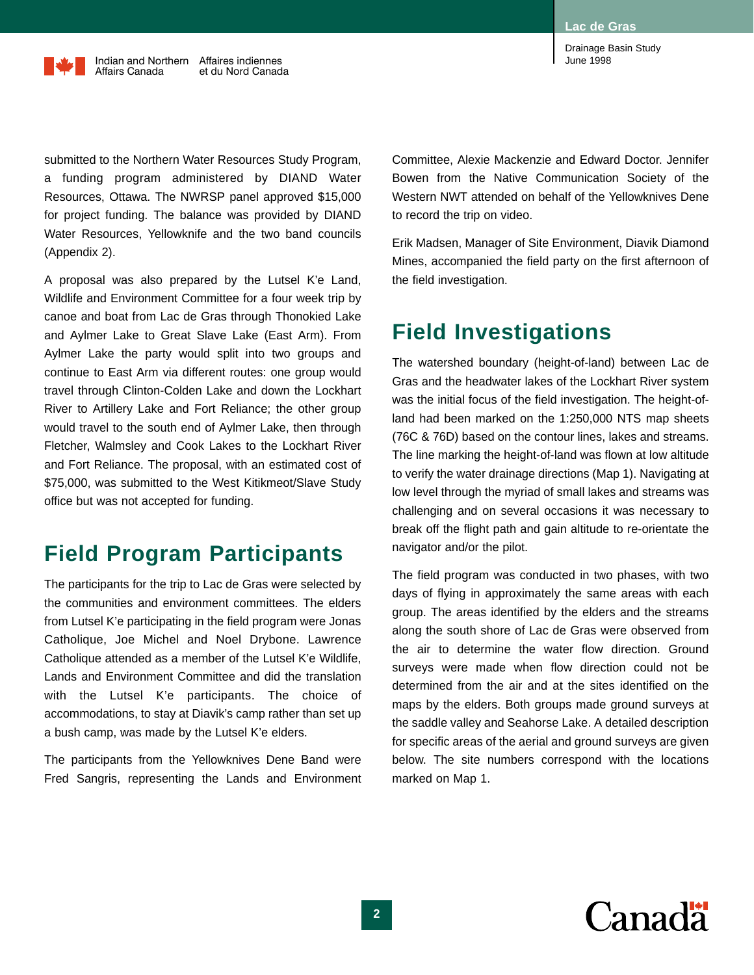submitted to the Northern Water Resources Study Program, a funding program administered by DIAND Water Resources, Ottawa. The NWRSP panel approved \$15,000 for project funding. The balance was provided by DIAND Water Resources, Yellowknife and the two band councils (Appendix 2).

A proposal was also prepared by the Lutsel K'e Land, Wildlife and Environment Committee for a four week trip by canoe and boat from Lac de Gras through Thonokied Lake and Aylmer Lake to Great Slave Lake (East Arm). From Aylmer Lake the party would split into two groups and continue to East Arm via different routes: one group would travel through Clinton-Colden Lake and down the Lockhart River to Artillery Lake and Fort Reliance; the other group would travel to the south end of Aylmer Lake, then through Fletcher, Walmsley and Cook Lakes to the Lockhart River and Fort Reliance. The proposal, with an estimated cost of \$75,000, was submitted to the West Kitikmeot/Slave Study office but was not accepted for funding.

### **Field Program Participants**

The participants for the trip to Lac de Gras were selected by the communities and environment committees. The elders from Lutsel K'e participating in the field program were Jonas Catholique, Joe Michel and Noel Drybone. Lawrence Catholique attended as a member of the Lutsel K'e Wildlife, Lands and Environment Committee and did the translation with the Lutsel K'e participants. The choice of accommodations, to stay at Diavik's camp rather than set up a bush camp, was made by the Lutsel K'e elders.

The participants from the Yellowknives Dene Band were Fred Sangris, representing the Lands and Environment Committee, Alexie Mackenzie and Edward Doctor. Jennifer Bowen from the Native Communication Society of the Western NWT attended on behalf of the Yellowknives Dene to record the trip on video.

Erik Madsen, Manager of Site Environment, Diavik Diamond Mines, accompanied the field party on the first afternoon of the field investigation.

# **Field Investigations**

The watershed boundary (height-of-land) between Lac de Gras and the headwater lakes of the Lockhart River system was the initial focus of the field investigation. The height-ofland had been marked on the 1:250,000 NTS map sheets (76C & 76D) based on the contour lines, lakes and streams. The line marking the height-of-land was flown at low altitude to verify the water drainage directions (Map 1). Navigating at low level through the myriad of small lakes and streams was challenging and on several occasions it was necessary to break off the flight path and gain altitude to re-orientate the navigator and/or the pilot.

The field program was conducted in two phases, with two days of flying in approximately the same areas with each group. The areas identified by the elders and the streams along the south shore of Lac de Gras were observed from the air to determine the water flow direction. Ground surveys were made when flow direction could not be determined from the air and at the sites identified on the maps by the elders. Both groups made ground surveys at the saddle valley and Seahorse Lake. A detailed description for specific areas of the aerial and ground surveys are given below. The site numbers correspond with the locations marked on Map 1.

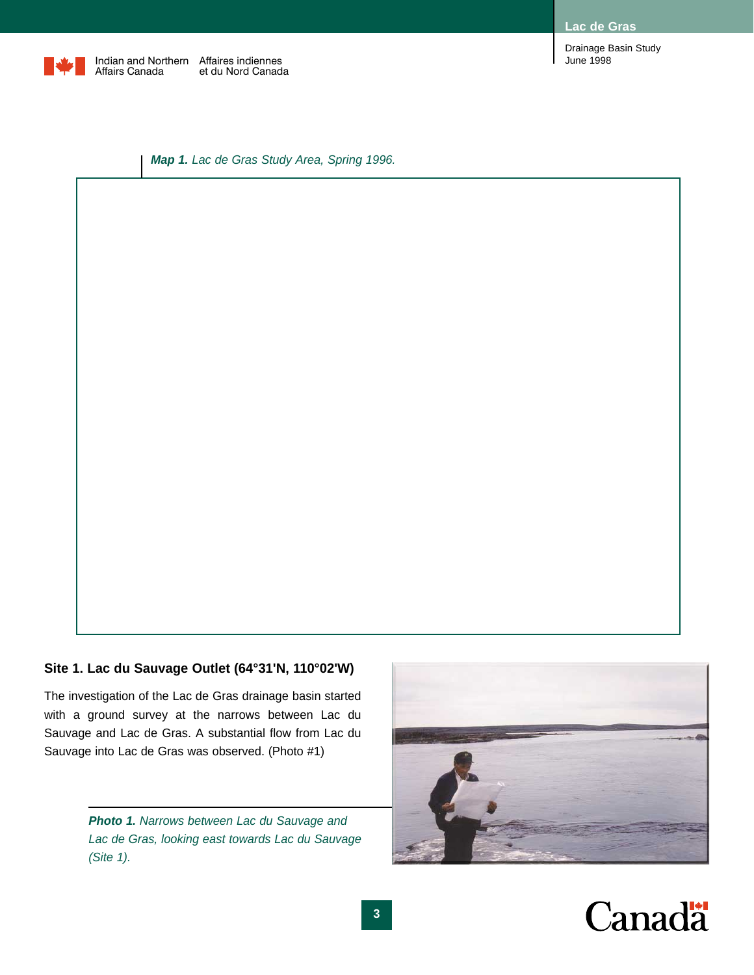

**Lac de Gras**

Drainage Basin Study June 1998

*Map 1. Lac de Gras Study Area, Spring 1996.*

#### **Site 1. Lac du Sauvage Outlet (64°31'N, 110°02'W)**

The investigation of the Lac de Gras drainage basin started with a ground survey at the narrows between Lac du Sauvage and Lac de Gras. A substantial flow from Lac du Sauvage into Lac de Gras was observed. (Photo #1)

> *Photo 1. Narrows between Lac du Sauvage and Lac de Gras, looking east towards Lac du Sauvage (Site 1).*



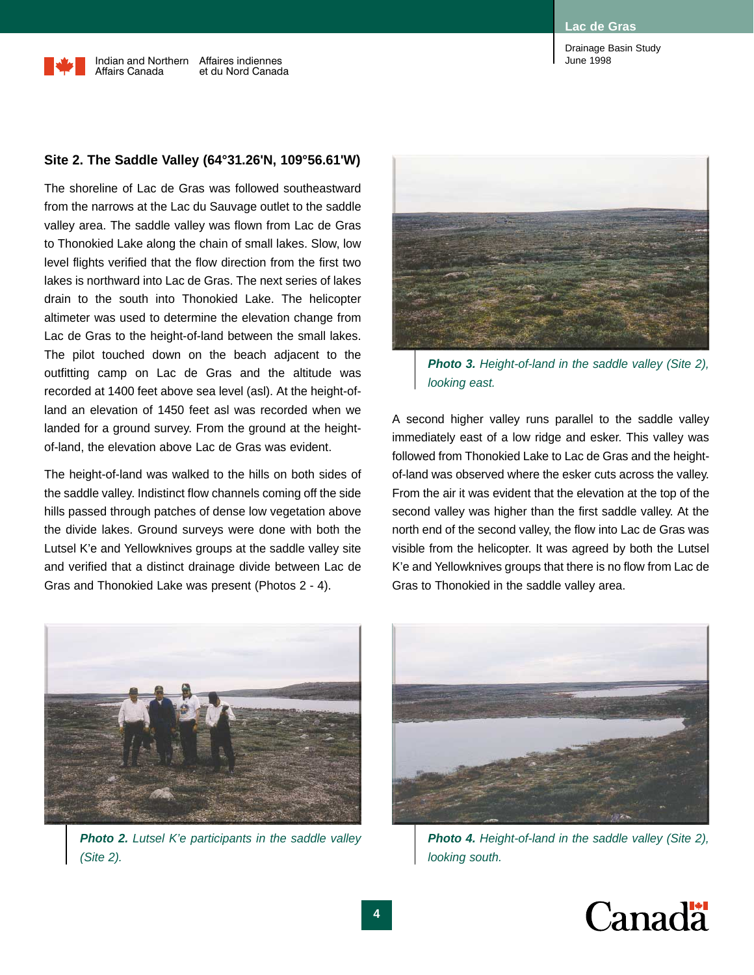### **Site 2. The Saddle Valley (64°31.26'N, 109°56.61'W)**

The shoreline of Lac de Gras was followed southeastward from the narrows at the Lac du Sauvage outlet to the saddle valley area. The saddle valley was flown from Lac de Gras to Thonokied Lake along the chain of small lakes. Slow, low level flights verified that the flow direction from the first two lakes is northward into Lac de Gras. The next series of lakes drain to the south into Thonokied Lake. The helicopter altimeter was used to determine the elevation change from Lac de Gras to the height-of-land between the small lakes. The pilot touched down on the beach adjacent to the outfitting camp on Lac de Gras and the altitude was recorded at 1400 feet above sea level (asl). At the height-ofland an elevation of 1450 feet asl was recorded when we landed for a ground survey. From the ground at the heightof-land, the elevation above Lac de Gras was evident.

The height-of-land was walked to the hills on both sides of the saddle valley. Indistinct flow channels coming off the side hills passed through patches of dense low vegetation above the divide lakes. Ground surveys were done with both the Lutsel K'e and Yellowknives groups at the saddle valley site and verified that a distinct drainage divide between Lac de Gras and Thonokied Lake was present (Photos 2 - 4).



*Photo 3. Height-of-land in the saddle valley (Site 2), looking east.*

A second higher valley runs parallel to the saddle valley immediately east of a low ridge and esker. This valley was followed from Thonokied Lake to Lac de Gras and the heightof-land was observed where the esker cuts across the valley. From the air it was evident that the elevation at the top of the second valley was higher than the first saddle valley. At the north end of the second valley, the flow into Lac de Gras was visible from the helicopter. It was agreed by both the Lutsel K'e and Yellowknives groups that there is no flow from Lac de Gras to Thonokied in the saddle valley area.



*Photo 2. Lutsel K'e participants in the saddle valley (Site 2).*



*Photo 4. Height-of-land in the saddle valley (Site 2), looking south.*

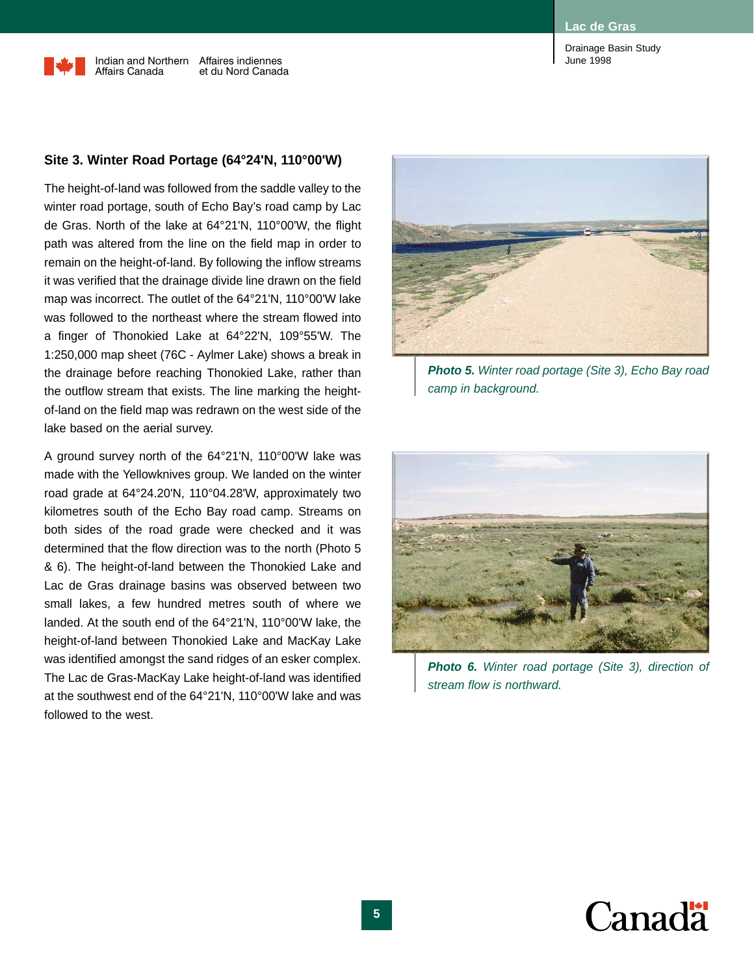#### **Site 3. Winter Road Portage (64°24'N, 110°00'W)**

The height-of-land was followed from the saddle valley to the winter road portage, south of Echo Bay's road camp by Lac de Gras. North of the lake at 64°21'N, 110°00'W, the flight path was altered from the line on the field map in order to remain on the height-of-land. By following the inflow streams it was verified that the drainage divide line drawn on the field map was incorrect. The outlet of the 64°21'N, 110°00'W lake was followed to the northeast where the stream flowed into a finger of Thonokied Lake at 64°22'N, 109°55'W. The 1:250,000 map sheet (76C - Aylmer Lake) shows a break in the drainage before reaching Thonokied Lake, rather than the outflow stream that exists. The line marking the heightof-land on the field map was redrawn on the west side of the lake based on the aerial survey.

A ground survey north of the 64°21'N, 110°00'W lake was made with the Yellowknives group. We landed on the winter road grade at 64°24.20'N, 110°04.28'W, approximately two kilometres south of the Echo Bay road camp. Streams on both sides of the road grade were checked and it was determined that the flow direction was to the north (Photo 5 & 6). The height-of-land between the Thonokied Lake and Lac de Gras drainage basins was observed between two small lakes, a few hundred metres south of where we landed. At the south end of the 64°21'N, 110°00'W lake, the height-of-land between Thonokied Lake and MacKay Lake was identified amongst the sand ridges of an esker complex. The Lac de Gras-MacKay Lake height-of-land was identified at the southwest end of the 64°21'N, 110°00'W lake and was followed to the west.



*Photo 5. Winter road portage (Site 3), Echo Bay road camp in background.*



*Photo 6. Winter road portage (Site 3), direction of stream flow is northward.*

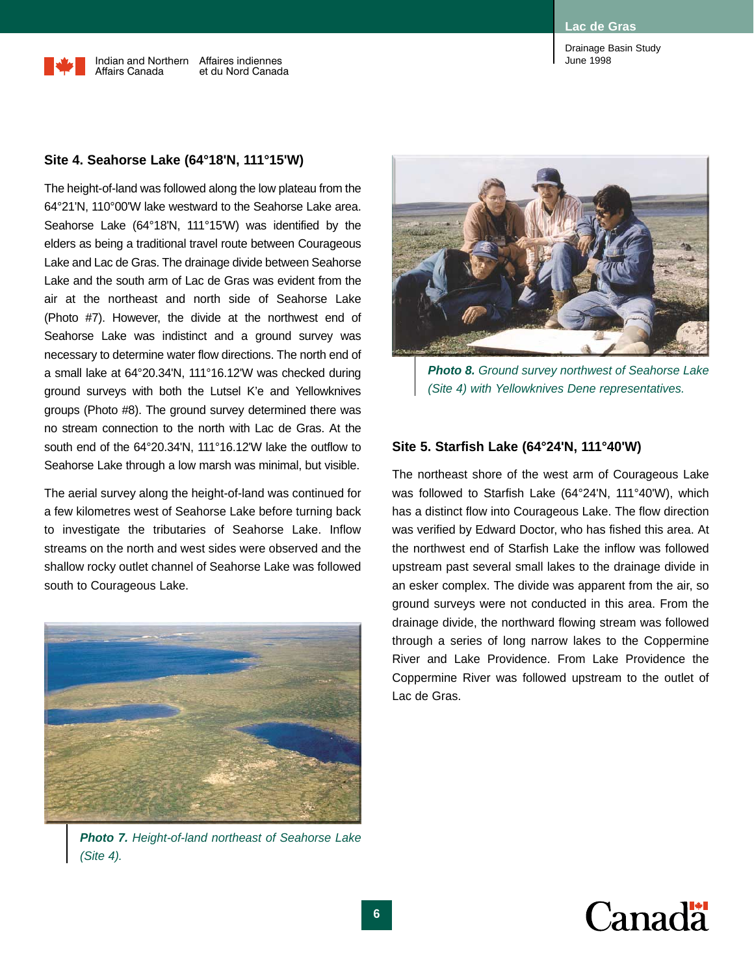#### **Site 4. Seahorse Lake (64°18'N, 111°15'W)**

The height-of-land was followed along the low plateau from the 64°21'N, 110°00'W lake westward to the Seahorse Lake area. Seahorse Lake (64°18'N, 111°15'W) was identified by the elders as being a traditional travel route between Courageous Lake and Lac de Gras. The drainage divide between Seahorse Lake and the south arm of Lac de Gras was evident from the air at the northeast and north side of Seahorse Lake (Photo #7). However, the divide at the northwest end of Seahorse Lake was indistinct and a ground survey was necessary to determine water flow directions. The north end of a small lake at 64°20.34'N, 111°16.12'W was checked during ground surveys with both the Lutsel K'e and Yellowknives groups (Photo #8). The ground survey determined there was no stream connection to the north with Lac de Gras. At the south end of the 64°20.34'N, 111°16.12'W lake the outflow to Seahorse Lake through a low marsh was minimal, but visible.

The aerial survey along the height-of-land was continued for a few kilometres west of Seahorse Lake before turning back to investigate the tributaries of Seahorse Lake. Inflow streams on the north and west sides were observed and the shallow rocky outlet channel of Seahorse Lake was followed south to Courageous Lake.



*Photo 7. Height-of-land northeast of Seahorse Lake (Site 4).*



*Photo 8. Ground survey northwest of Seahorse Lake (Site 4) with Yellowknives Dene representatives.*

#### **Site 5. Starfish Lake (64°24'N, 111°40'W)**

The northeast shore of the west arm of Courageous Lake was followed to Starfish Lake (64°24'N, 111°40'W), which has a distinct flow into Courageous Lake. The flow direction was verified by Edward Doctor, who has fished this area. At the northwest end of Starfish Lake the inflow was followed upstream past several small lakes to the drainage divide in an esker complex. The divide was apparent from the air, so ground surveys were not conducted in this area. From the drainage divide, the northward flowing stream was followed through a series of long narrow lakes to the Coppermine River and Lake Providence. From Lake Providence the Coppermine River was followed upstream to the outlet of Lac de Gras.

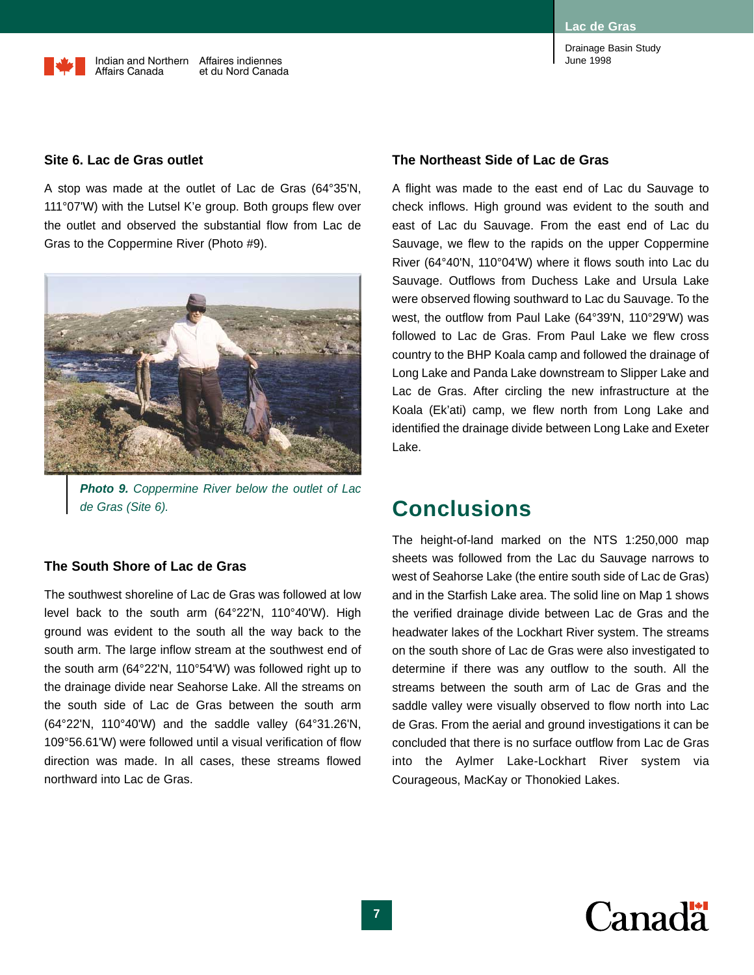#### **Site 6. Lac de Gras outlet**

A stop was made at the outlet of Lac de Gras (64°35'N, 111°07'W) with the Lutsel K'e group. Both groups flew over the outlet and observed the substantial flow from Lac de Gras to the Coppermine River (Photo #9).



*Photo 9. Coppermine River below the outlet of Lac de Gras (Site 6).*

#### **The South Shore of Lac de Gras**

The southwest shoreline of Lac de Gras was followed at low level back to the south arm (64°22'N, 110°40'W). High ground was evident to the south all the way back to the south arm. The large inflow stream at the southwest end of the south arm (64°22'N, 110°54'W) was followed right up to the drainage divide near Seahorse Lake. All the streams on the south side of Lac de Gras between the south arm (64°22'N, 110°40'W) and the saddle valley (64°31.26'N, 109°56.61'W) were followed until a visual verification of flow direction was made. In all cases, these streams flowed northward into Lac de Gras.

Drainage Basin Study June 1998

#### **The Northeast Side of Lac de Gras**

A flight was made to the east end of Lac du Sauvage to check inflows. High ground was evident to the south and east of Lac du Sauvage. From the east end of Lac du Sauvage, we flew to the rapids on the upper Coppermine River (64°40'N, 110°04'W) where it flows south into Lac du Sauvage. Outflows from Duchess Lake and Ursula Lake were observed flowing southward to Lac du Sauvage. To the west, the outflow from Paul Lake (64°39'N, 110°29'W) was followed to Lac de Gras. From Paul Lake we flew cross country to the BHP Koala camp and followed the drainage of Long Lake and Panda Lake downstream to Slipper Lake and Lac de Gras. After circling the new infrastructure at the Koala (Ek'ati) camp, we flew north from Long Lake and identified the drainage divide between Long Lake and Exeter Lake.

### **Conclusions**

The height-of-land marked on the NTS 1:250,000 map sheets was followed from the Lac du Sauvage narrows to west of Seahorse Lake (the entire south side of Lac de Gras) and in the Starfish Lake area. The solid line on Map 1 shows the verified drainage divide between Lac de Gras and the headwater lakes of the Lockhart River system. The streams on the south shore of Lac de Gras were also investigated to determine if there was any outflow to the south. All the streams between the south arm of Lac de Gras and the saddle valley were visually observed to flow north into Lac de Gras. From the aerial and ground investigations it can be concluded that there is no surface outflow from Lac de Gras into the Aylmer Lake-Lockhart River system via Courageous, MacKay or Thonokied Lakes.

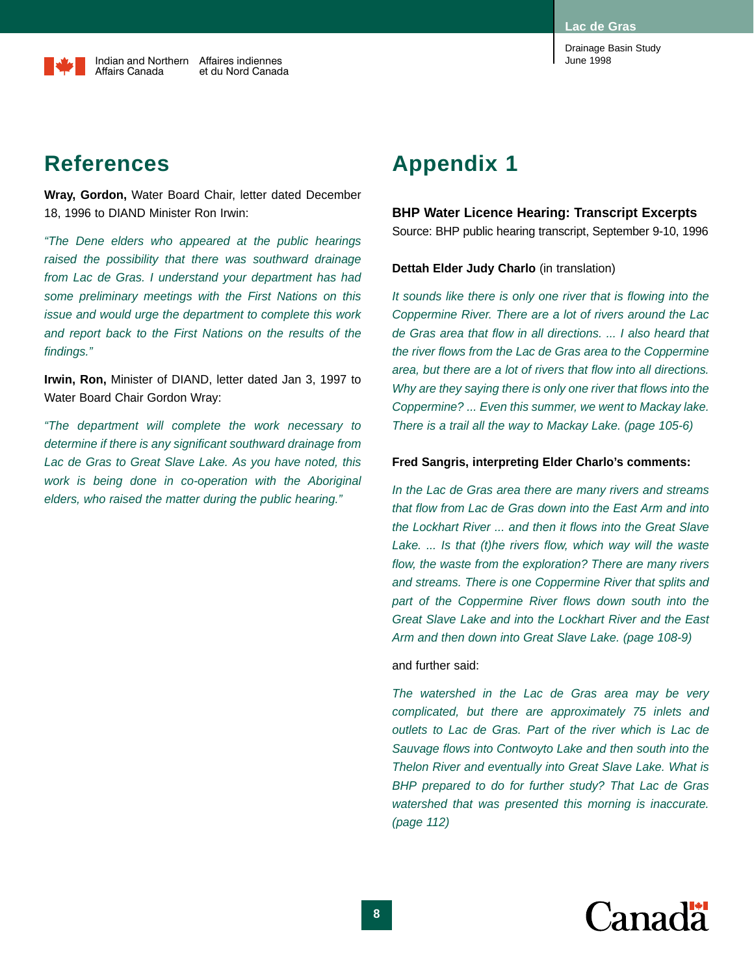**Lac de Gras**

Drainage Basin Study June 1998

### **References**

**Wray, Gordon,** Water Board Chair, letter dated December 18, 1996 to DIAND Minister Ron Irwin:

*"The Dene elders who appeared at the public hearings raised the possibility that there was southward drainage from Lac de Gras. I understand your department has had some preliminary meetings with the First Nations on this issue and would urge the department to complete this work and report back to the First Nations on the results of the findings."*

**Irwin, Ron,** Minister of DIAND, letter dated Jan 3, 1997 to Water Board Chair Gordon Wray:

*"The department will complete the work necessary to determine if there is any significant southward drainage from Lac de Gras to Great Slave Lake. As you have noted, this work is being done in co-operation with the Aboriginal elders, who raised the matter during the public hearing."*

### **Appendix 1**

#### **BHP Water Licence Hearing: Transcript Excerpts**

Source: BHP public hearing transcript, September 9-10, 1996

#### **Dettah Elder Judy Charlo** (in translation)

*It sounds like there is only one river that is flowing into the Coppermine River. There are a lot of rivers around the Lac de Gras area that flow in all directions. ... I also heard that the river flows from the Lac de Gras area to the Coppermine area, but there are a lot of rivers that flow into all directions. Why are they saying there is only one river that flows into the Coppermine? ... Even this summer, we went to Mackay lake. There is a trail all the way to Mackay Lake. (page 105-6)*

#### **Fred Sangris, interpreting Elder Charlo's comments:**

*In the Lac de Gras area there are many rivers and streams that flow from Lac de Gras down into the East Arm and into the Lockhart River ... and then it flows into the Great Slave Lake. ... Is that (t)he rivers flow, which way will the waste flow, the waste from the exploration? There are many rivers and streams. There is one Coppermine River that splits and part of the Coppermine River flows down south into the Great Slave Lake and into the Lockhart River and the East Arm and then down into Great Slave Lake. (page 108-9)*

#### and further said:

*The watershed in the Lac de Gras area may be very complicated, but there are approximately 75 inlets and outlets to Lac de Gras. Part of the river which is Lac de Sauvage flows into Contwoyto Lake and then south into the Thelon River and eventually into Great Slave Lake. What is BHP prepared to do for further study? That Lac de Gras watershed that was presented this morning is inaccurate. (page 112)*

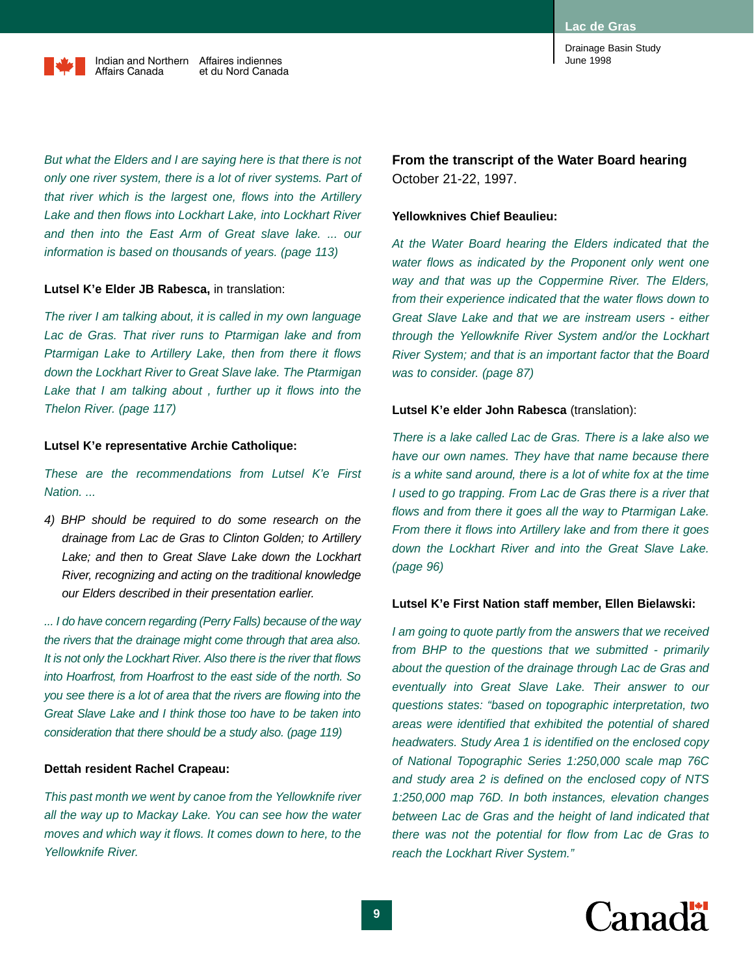**Lac de Gras**

Drainage Basin Study June 1998

*But what the Elders and I are saying here is that there is not only one river system, there is a lot of river systems. Part of that river which is the largest one, flows into the Artillery Lake and then flows into Lockhart Lake, into Lockhart River and then into the East Arm of Great slave lake. ... our information is based on thousands of years. (page 113)*

#### **Lutsel K'e Elder JB Rabesca,** in translation:

*The river I am talking about, it is called in my own language Lac de Gras. That river runs to Ptarmigan lake and from Ptarmigan Lake to Artillery Lake, then from there it flows down the Lockhart River to Great Slave lake. The Ptarmigan Lake that I am talking about , further up it flows into the Thelon River. (page 117)*

#### **Lutsel K'e representative Archie Catholique:**

*These are the recommendations from Lutsel K'e First Nation. ...*

*4) BHP should be required to do some research on the drainage from Lac de Gras to Clinton Golden; to Artillery Lake; and then to Great Slave Lake down the Lockhart River, recognizing and acting on the traditional knowledge our Elders described in their presentation earlier.*

*... I do have concern regarding (Perry Falls) because of the way the rivers that the drainage might come through that area also. It is not only the Lockhart River. Also there is the river that flows into Hoarfrost, from Hoarfrost to the east side of the north. So you see there is a lot of area that the rivers are flowing into the Great Slave Lake and I think those too have to be taken into consideration that there should be a study also. (page 119)*

#### **Dettah resident Rachel Crapeau:**

*This past month we went by canoe from the Yellowknife river all the way up to Mackay Lake. You can see how the water moves and which way it flows. It comes down to here, to the Yellowknife River.*

**From the transcript of the Water Board hearing** October 21-22, 1997.

#### **Yellowknives Chief Beaulieu:**

*At the Water Board hearing the Elders indicated that the water flows as indicated by the Proponent only went one way and that was up the Coppermine River. The Elders, from their experience indicated that the water flows down to Great Slave Lake and that we are instream users - either through the Yellowknife River System and/or the Lockhart River System; and that is an important factor that the Board was to consider. (page 87)*

#### **Lutsel K'e elder John Rabesca** (translation):

*There is a lake called Lac de Gras. There is a lake also we have our own names. They have that name because there is a white sand around, there is a lot of white fox at the time I used to go trapping. From Lac de Gras there is a river that flows and from there it goes all the way to Ptarmigan Lake. From there it flows into Artillery lake and from there it goes down the Lockhart River and into the Great Slave Lake. (page 96)*

#### **Lutsel K'e First Nation staff member, Ellen Bielawski:**

*I am going to quote partly from the answers that we received from BHP to the questions that we submitted - primarily about the question of the drainage through Lac de Gras and eventually into Great Slave Lake. Their answer to our questions states: "based on topographic interpretation, two areas were identified that exhibited the potential of shared headwaters. Study Area 1 is identified on the enclosed copy of National Topographic Series 1:250,000 scale map 76C and study area 2 is defined on the enclosed copy of NTS 1:250,000 map 76D. In both instances, elevation changes between Lac de Gras and the height of land indicated that there was not the potential for flow from Lac de Gras to reach the Lockhart River System."*

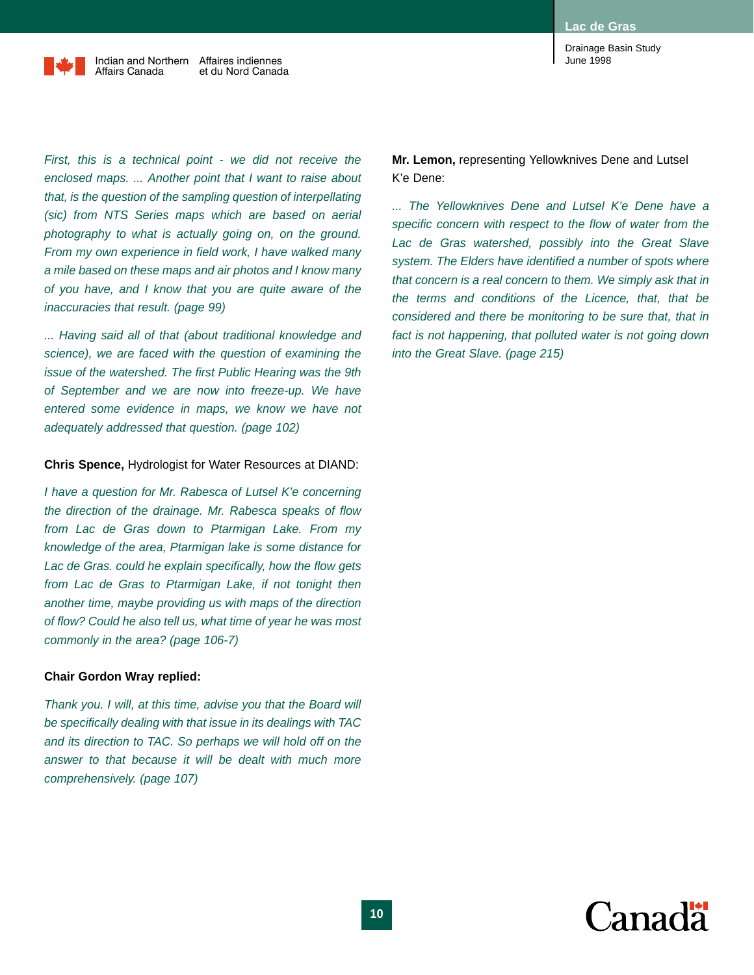June 1998

Drainage Basin Study



Indian and Northern Affaires indiennes Affairs Canada et du Nord Canada

*First, this is a technical point - we did not receive the enclosed maps. ... Another point that I want to raise about that, is the question of the sampling question of interpellating (sic) from NTS Series maps which are based on aerial photography to what is actually going on, on the ground. From my own experience in field work, I have walked many a mile based on these maps and air photos and I know many of you have, and I know that you are quite aware of the inaccuracies that result. (page 99)*

*... Having said all of that (about traditional knowledge and science), we are faced with the question of examining the issue of the watershed. The first Public Hearing was the 9th of September and we are now into freeze-up. We have entered some evidence in maps, we know we have not adequately addressed that question. (page 102)*

#### **Chris Spence,** Hydrologist for Water Resources at DIAND:

*I have a question for Mr. Rabesca of Lutsel K'e concerning the direction of the drainage. Mr. Rabesca speaks of flow from Lac de Gras down to Ptarmigan Lake. From my knowledge of the area, Ptarmigan lake is some distance for Lac de Gras. could he explain specifically, how the flow gets from Lac de Gras to Ptarmigan Lake, if not tonight then another time, maybe providing us with maps of the direction of flow? Could he also tell us, what time of year he was most commonly in the area? (page 106-7)*

#### **Chair Gordon Wray replied:**

*Thank you. I will, at this time, advise you that the Board will be specifically dealing with that issue in its dealings with TAC and its direction to TAC. So perhaps we will hold off on the answer to that because it will be dealt with much more comprehensively. (page 107)*

**Mr. Lemon,** representing Yellowknives Dene and Lutsel K'e Dene:

*... The Yellowknives Dene and Lutsel K'e Dene have a specific concern with respect to the flow of water from the Lac de Gras watershed, possibly into the Great Slave system. The Elders have identified a number of spots where that concern is a real concern to them. We simply ask that in the terms and conditions of the Licence, that, that be considered and there be monitoring to be sure that, that in fact is not happening, that polluted water is not going down into the Great Slave. (page 215)*

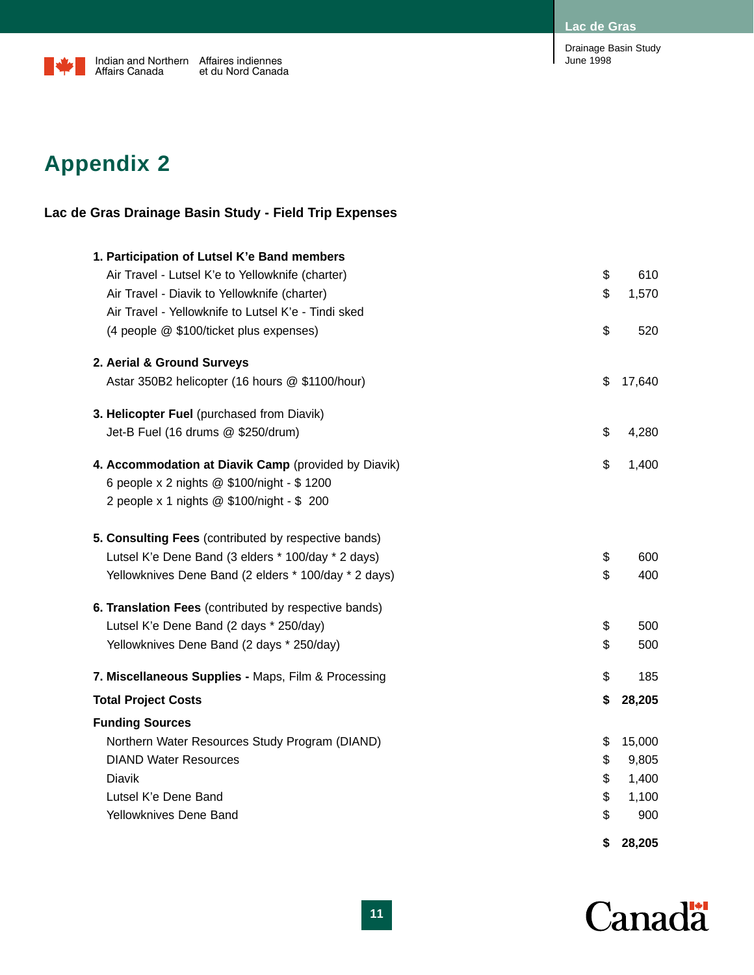**Lac de Gras**



Drainage Basin Study June 1998

# **Appendix 2**

### **Lac de Gras Drainage Basin Study - Field Trip Expenses**

|                                                                                                  | \$<br>28,205 |
|--------------------------------------------------------------------------------------------------|--------------|
| Yellowknives Dene Band                                                                           | \$<br>900    |
| Lutsel K'e Dene Band                                                                             | \$<br>1,100  |
| Diavik                                                                                           | \$<br>1,400  |
| <b>DIAND Water Resources</b>                                                                     | \$<br>9,805  |
| Northern Water Resources Study Program (DIAND)                                                   | \$<br>15,000 |
| <b>Funding Sources</b>                                                                           |              |
| <b>Total Project Costs</b>                                                                       | \$<br>28,205 |
| 7. Miscellaneous Supplies - Maps, Film & Processing                                              | \$<br>185    |
|                                                                                                  |              |
| Yellowknives Dene Band (2 days * 250/day)                                                        | \$<br>500    |
| 6. Translation Fees (contributed by respective bands)<br>Lutsel K'e Dene Band (2 days * 250/day) | \$<br>500    |
| Yellowknives Dene Band (2 elders * 100/day * 2 days)                                             | \$<br>400    |
| Lutsel K'e Dene Band (3 elders * 100/day * 2 days)                                               | \$<br>600    |
| 5. Consulting Fees (contributed by respective bands)                                             |              |
| 2 people x 1 nights @ \$100/night - \$ 200                                                       |              |
| 6 people x 2 nights @ \$100/night - \$ 1200                                                      |              |
| 4. Accommodation at Diavik Camp (provided by Diavik)                                             | \$<br>1,400  |
| Jet-B Fuel (16 drums @ \$250/drum)                                                               | \$<br>4,280  |
| 3. Helicopter Fuel (purchased from Diavik)                                                       |              |
| Astar 350B2 helicopter (16 hours @ \$1100/hour)                                                  | \$<br>17,640 |
| 2. Aerial & Ground Surveys                                                                       |              |
| (4 people @ \$100/ticket plus expenses)                                                          | \$<br>520    |
| Air Travel - Yellowknife to Lutsel K'e - Tindi sked                                              |              |
| Air Travel - Diavik to Yellowknife (charter)                                                     | \$<br>1,570  |
| Air Travel - Lutsel K'e to Yellowknife (charter)                                                 | \$<br>610    |
| 1. Participation of Lutsel K'e Band members                                                      |              |

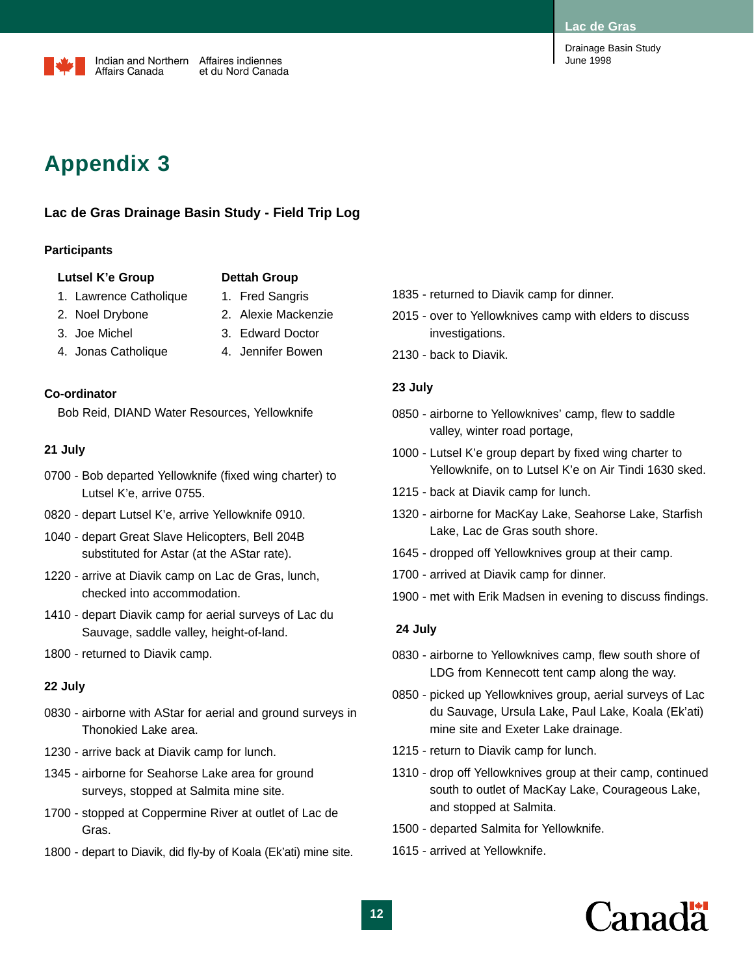#### **Lac de Gras**



# **Appendix 3**

### **Lac de Gras Drainage Basin Study - Field Trip Log**

#### **Participants**

#### Lutsel K'e Group **Dettah Group**

- 
- 1. Lawrence Catholique 1. Fred Sangris
	-
- 2. Noel Drybone 2. Alexie Mackenzie
- 3. Joe Michel 3. Edward Doctor
- 4. Jonas Catholique 4. Jennifer Bowen
- 
- 

#### **Co-ordinator**

Bob Reid, DIAND Water Resources, Yellowknife

#### **21 July**

- 0700 Bob departed Yellowknife (fixed wing charter) to Lutsel K'e, arrive 0755.
- 0820 depart Lutsel K'e, arrive Yellowknife 0910.
- 1040 depart Great Slave Helicopters, Bell 204B substituted for Astar (at the AStar rate).
- 1220 arrive at Diavik camp on Lac de Gras, lunch, checked into accommodation.
- 1410 depart Diavik camp for aerial surveys of Lac du Sauvage, saddle valley, height-of-land.
- 1800 returned to Diavik camp.

#### **22 July**

- 0830 airborne with AStar for aerial and ground surveys in Thonokied Lake area.
- 1230 arrive back at Diavik camp for lunch.
- 1345 airborne for Seahorse Lake area for ground surveys, stopped at Salmita mine site.
- 1700 stopped at Coppermine River at outlet of Lac de Gras.
- 1800 depart to Diavik, did fly-by of Koala (Ek'ati) mine site.
- 1835 returned to Diavik camp for dinner.
- 2015 over to Yellowknives camp with elders to discuss investigations.
- 2130 back to Diavik.

#### **23 July**

- 0850 airborne to Yellowknives' camp, flew to saddle valley, winter road portage,
- 1000 Lutsel K'e group depart by fixed wing charter to Yellowknife, on to Lutsel K'e on Air Tindi 1630 sked.
- 1215 back at Diavik camp for lunch.
- 1320 airborne for MacKay Lake, Seahorse Lake, Starfish Lake, Lac de Gras south shore.
- 1645 dropped off Yellowknives group at their camp.
- 1700 arrived at Diavik camp for dinner.
- 1900 met with Erik Madsen in evening to discuss findings.

#### **24 July**

- 0830 airborne to Yellowknives camp, flew south shore of LDG from Kennecott tent camp along the way.
- 0850 picked up Yellowknives group, aerial surveys of Lac du Sauvage, Ursula Lake, Paul Lake, Koala (Ek'ati) mine site and Exeter Lake drainage.
- 1215 return to Diavik camp for lunch.
- 1310 drop off Yellowknives group at their camp, continued south to outlet of MacKay Lake, Courageous Lake, and stopped at Salmita.
- 1500 departed Salmita for Yellowknife.
- 1615 arrived at Yellowknife.